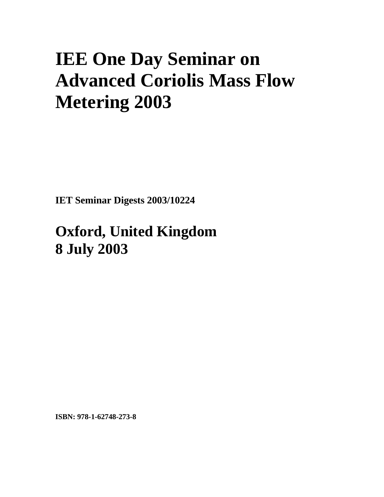## **IEE One Day Seminar on Advanced Coriolis Mass Flow Metering 2003**

**IET Seminar Digests 2003/10224** 

## **Oxford, United Kingdom 8 July 2003**

**ISBN: 978-1-62748-273-8**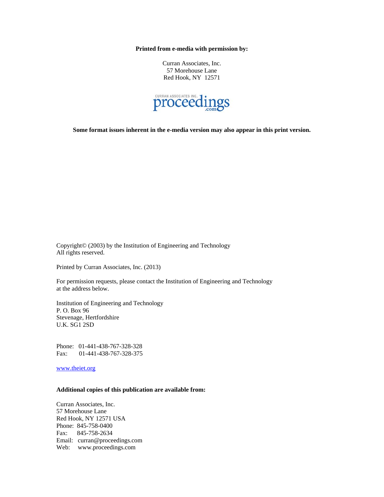**Printed from e-media with permission by:** 

Curran Associates, Inc. 57 Morehouse Lane Red Hook, NY 12571



**Some format issues inherent in the e-media version may also appear in this print version.** 

Copyright© (2003) by the Institution of Engineering and Technology All rights reserved.

Printed by Curran Associates, Inc. (2013)

For permission requests, please contact the Institution of Engineering and Technology at the address below.

Institution of Engineering and Technology P. O. Box 96 Stevenage, Hertfordshire U.K. SG1 2SD

Phone: 01-441-438-767-328-328 Fax: 01-441-438-767-328-375

www.theiet.org

## **Additional copies of this publication are available from:**

Curran Associates, Inc. 57 Morehouse Lane Red Hook, NY 12571 USA Phone: 845-758-0400 Fax: 845-758-2634 Email: curran@proceedings.com Web: www.proceedings.com